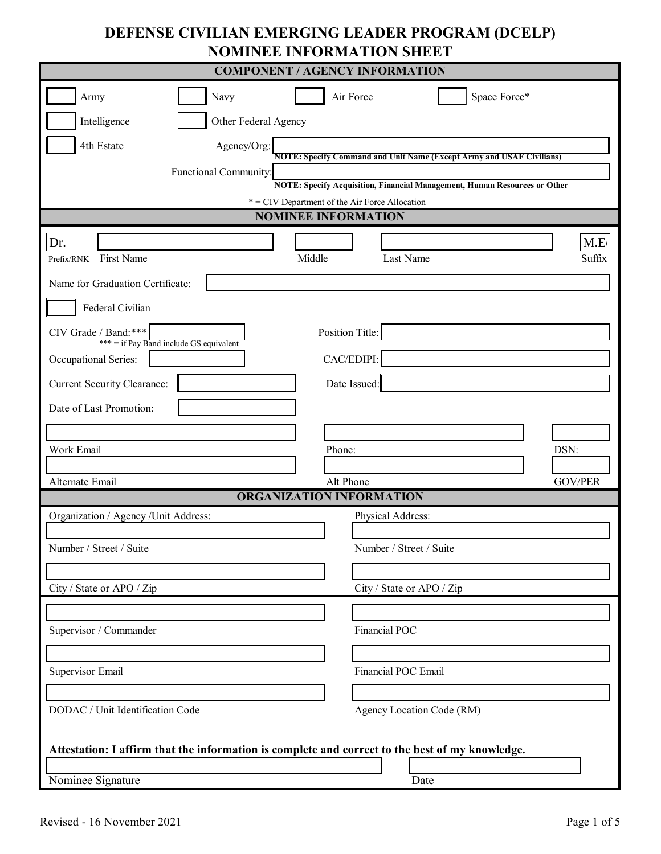# **DEFENSE CIVILIAN EMERGING LEADER PROGRAM (DCELP) NOMINEE INFORMATION SHEET**

| <b>COMPONENT / AGENCY INFORMATION</b>                                                           |                                                                                                                             |  |  |  |
|-------------------------------------------------------------------------------------------------|-----------------------------------------------------------------------------------------------------------------------------|--|--|--|
| Navy<br>Army                                                                                    | Space Force*<br>Air Force                                                                                                   |  |  |  |
| Intelligence<br>Other Federal Agency                                                            |                                                                                                                             |  |  |  |
| Agency/Org:<br>4th Estate                                                                       | <b>NOTE: Specify Command and Unit Name (Except Army and USAF Civilians)</b>                                                 |  |  |  |
| Functional Community:                                                                           |                                                                                                                             |  |  |  |
|                                                                                                 | NOTE: Specify Acquisition, Financial Management, Human Resources or Other<br>* = CIV Department of the Air Force Allocation |  |  |  |
|                                                                                                 | <b>NOMINEE INFORMATION</b>                                                                                                  |  |  |  |
| Dr.                                                                                             | M.E                                                                                                                         |  |  |  |
| Middle<br>First Name<br>Prefix/RNK                                                              | Suffix<br>Last Name                                                                                                         |  |  |  |
| Name for Graduation Certificate:                                                                |                                                                                                                             |  |  |  |
| Federal Civilian                                                                                |                                                                                                                             |  |  |  |
| CIV Grade / Band: ***<br>*** = if Pay Band include GS equivalent                                | Position Title:                                                                                                             |  |  |  |
| Occupational Series:                                                                            | CAC/EDIPI:                                                                                                                  |  |  |  |
| <b>Current Security Clearance:</b>                                                              | Date Issued:                                                                                                                |  |  |  |
| Date of Last Promotion:                                                                         |                                                                                                                             |  |  |  |
|                                                                                                 |                                                                                                                             |  |  |  |
| Work Email                                                                                      | DSN:<br>Phone:                                                                                                              |  |  |  |
| Alternate Email                                                                                 | Alt Phone<br><b>GOV/PER</b>                                                                                                 |  |  |  |
| ORGANIZATION INFORMATION                                                                        |                                                                                                                             |  |  |  |
| Organization / Agency / Unit Address:                                                           | Physical Address:                                                                                                           |  |  |  |
|                                                                                                 |                                                                                                                             |  |  |  |
| Number / Street / Suite                                                                         | Number / Street / Suite                                                                                                     |  |  |  |
|                                                                                                 |                                                                                                                             |  |  |  |
| City / State or APO / Zip                                                                       | City / State or APO / Zip                                                                                                   |  |  |  |
|                                                                                                 | Financial POC                                                                                                               |  |  |  |
| Supervisor / Commander                                                                          |                                                                                                                             |  |  |  |
| Supervisor Email                                                                                | Financial POC Email                                                                                                         |  |  |  |
|                                                                                                 |                                                                                                                             |  |  |  |
| DODAC / Unit Identification Code                                                                | Agency Location Code (RM)                                                                                                   |  |  |  |
|                                                                                                 |                                                                                                                             |  |  |  |
| Attestation: I affirm that the information is complete and correct to the best of my knowledge. |                                                                                                                             |  |  |  |
|                                                                                                 |                                                                                                                             |  |  |  |
| Nominee Signature                                                                               | Date                                                                                                                        |  |  |  |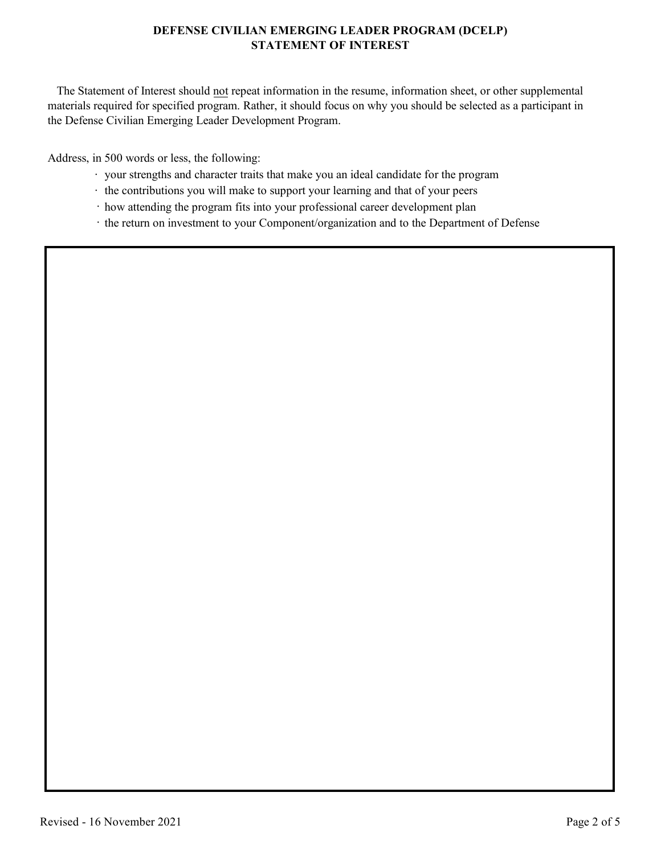## **DEFENSE CIVILIAN EMERGING LEADER PROGRAM (DCELP) STATEMENT OF INTEREST**

 The Statement of Interest should not repeat information in the resume, information sheet, or other supplemental materials required for specified program. Rather, it should focus on why you should be selected as a participant in the Defense Civilian Emerging Leader Development Program.

Address, in 500 words or less, the following:

- · your strengths and character traits that make you an ideal candidate for the program
- · the contributions you will make to support your learning and that of your peers
- · how attending the program fits into your professional career development plan
- · the return on investment to your Component/organization and to the Department of Defense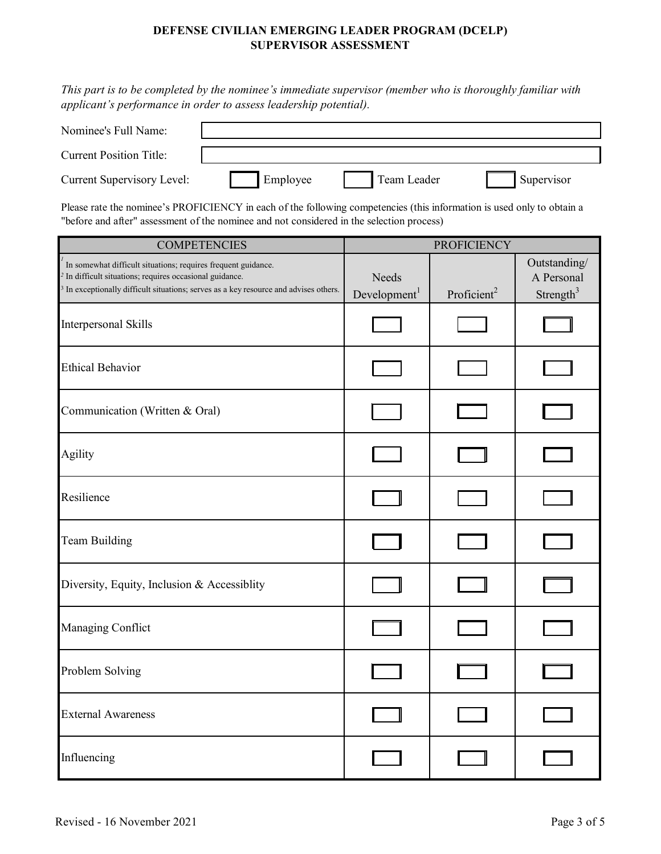## **DEFENSE CIVILIAN EMERGING LEADER PROGRAM (DCELP) SUPERVISOR ASSESSMENT**

*This part is to be completed by the nominee's immediate supervisor (member who is thoroughly familiar with applicant's performance in order to assess leadership potential).*

| Nominee's Full Name:           |          |             |            |
|--------------------------------|----------|-------------|------------|
| <b>Current Position Title:</b> |          |             |            |
| Current Supervisory Level:     | Employee | Team Leader | Supervisor |

Please rate the nominee's PROFICIENCY in each of the following competencies (this information is used only to obtain a "before and after" assessment of the nominee and not considered in the selection process)

| <b>COMPETENCIES</b>                                                                                                                                                                                                                      | <b>PROFICIENCY</b>                |                         |                                                     |
|------------------------------------------------------------------------------------------------------------------------------------------------------------------------------------------------------------------------------------------|-----------------------------------|-------------------------|-----------------------------------------------------|
| In somewhat difficult situations; requires frequent guidance.<br><sup>2</sup> In difficult situations; requires occasional guidance.<br><sup>3</sup> In exceptionally difficult situations; serves as a key resource and advises others. | Needs<br>Development <sup>1</sup> | Proficient <sup>2</sup> | Outstanding/<br>A Personal<br>Strength <sup>3</sup> |
| Interpersonal Skills                                                                                                                                                                                                                     |                                   |                         |                                                     |
| <b>Ethical Behavior</b>                                                                                                                                                                                                                  |                                   |                         |                                                     |
| Communication (Written & Oral)                                                                                                                                                                                                           |                                   |                         |                                                     |
| Agility                                                                                                                                                                                                                                  |                                   |                         |                                                     |
| Resilience                                                                                                                                                                                                                               |                                   |                         |                                                     |
| <b>Team Building</b>                                                                                                                                                                                                                     |                                   |                         |                                                     |
| Diversity, Equity, Inclusion & Accessiblity                                                                                                                                                                                              |                                   |                         |                                                     |
| Managing Conflict                                                                                                                                                                                                                        |                                   |                         |                                                     |
| Problem Solving                                                                                                                                                                                                                          |                                   |                         |                                                     |
| <b>External Awareness</b>                                                                                                                                                                                                                |                                   |                         |                                                     |
| Influencing                                                                                                                                                                                                                              |                                   |                         |                                                     |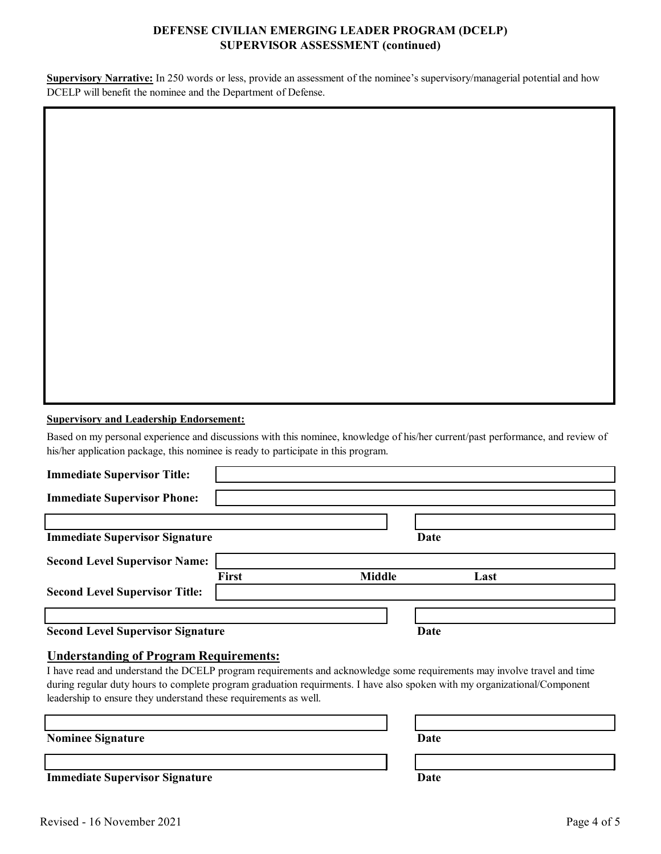## **DEFENSE CIVILIAN EMERGING LEADER PROGRAM (DCELP) SUPERVISOR ASSESSMENT (continued)**

**Supervisory Narrative:** In 250 words or less, provide an assessment of the nominee's supervisory/managerial potential and how DCELP will benefit the nominee and the Department of Defense.

|  | <b>Supervisory and Leadership Endorsement:</b> |
|--|------------------------------------------------|
|  |                                                |

Based on my personal experience and discussions with this nominee, knowledge of his/her current/past performance, and review of his/her application package, this nominee is ready to participate in this program.

| <b>Immediate Supervisor Title:</b>       |       |               |      |      |  |
|------------------------------------------|-------|---------------|------|------|--|
| <b>Immediate Supervisor Phone:</b>       |       |               |      |      |  |
|                                          |       |               |      |      |  |
| <b>Immediate Supervisor Signature</b>    |       |               | Date |      |  |
| <b>Second Level Supervisor Name:</b>     |       |               |      |      |  |
|                                          | First | <b>Middle</b> |      | Last |  |
| <b>Second Level Supervisor Title:</b>    |       |               |      |      |  |
|                                          |       |               |      |      |  |
| <b>Second Level Supervisor Signature</b> |       |               | Date |      |  |

**Understanding of Program Requirements:**

I have read and understand the DCELP program requirements and acknowledge some requirements may involve travel and time during regular duty hours to complete program graduation requirments. I have also spoken with my organizational/Component leadership to ensure they understand these requirements as well.

**Nominee Signature** 

**Immediate Supervisor Signature Date**